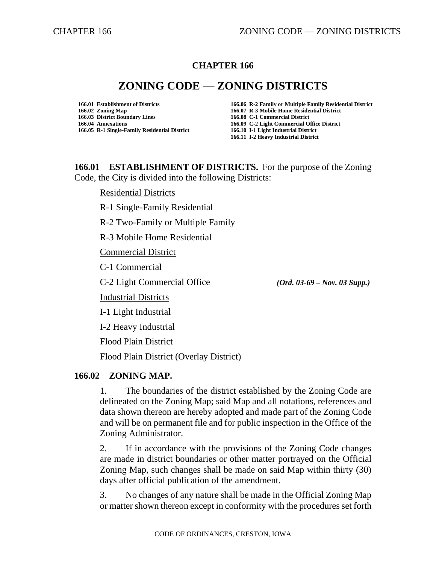# **CHAPTER 166**

# **ZONING CODE — ZONING DISTRICTS**

**166.02 Zoning Map 166.07 R-3 Mobile Home Residential District 166.03 District Boundary Lines 166.04 Annexations 166.09 C-2 Light Commercial Office District 166.05 R-1 Single-Family Residential District 166.10 I-1 Light Industrial District**

**166.01 Establishment of Districts 166.06 R-2 Family or Multiple Family Residential District 166.11 I-2 Heavy Industrial District**

**166.01 ESTABLISHMENT OF DISTRICTS.** For the purpose of the Zoning Code, the City is divided into the following Districts:

Residential Districts

R-1 Single-Family Residential

R-2 Two-Family or Multiple Family

R-3 Mobile Home Residential

Commercial District

C-1 Commercial

C-2 Light Commercial Office *(Ord. 03-69 – Nov. 03 Supp.)*

Industrial Districts

I-1 Light Industrial

I-2 Heavy Industrial

Flood Plain District

Flood Plain District (Overlay District)

## **166.02 ZONING MAP.**

1. The boundaries of the district established by the Zoning Code are delineated on the Zoning Map; said Map and all notations, references and data shown thereon are hereby adopted and made part of the Zoning Code and will be on permanent file and for public inspection in the Office of the Zoning Administrator.

2. If in accordance with the provisions of the Zoning Code changes are made in district boundaries or other matter portrayed on the Official Zoning Map, such changes shall be made on said Map within thirty (30) days after official publication of the amendment.

3. No changes of any nature shall be made in the Official Zoning Map or matter shown thereon except in conformity with the procedures set forth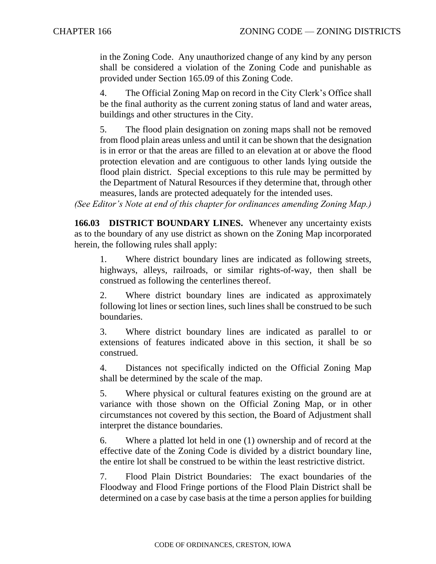in the Zoning Code. Any unauthorized change of any kind by any person shall be considered a violation of the Zoning Code and punishable as provided under Section 165.09 of this Zoning Code.

4. The Official Zoning Map on record in the City Clerk's Office shall be the final authority as the current zoning status of land and water areas, buildings and other structures in the City.

5. The flood plain designation on zoning maps shall not be removed from flood plain areas unless and until it can be shown that the designation is in error or that the areas are filled to an elevation at or above the flood protection elevation and are contiguous to other lands lying outside the flood plain district. Special exceptions to this rule may be permitted by the Department of Natural Resources if they determine that, through other measures, lands are protected adequately for the intended uses.

*(See Editor's Note at end of this chapter for ordinances amending Zoning Map.)*

**166.03 DISTRICT BOUNDARY LINES.** Whenever any uncertainty exists as to the boundary of any use district as shown on the Zoning Map incorporated herein, the following rules shall apply:

1. Where district boundary lines are indicated as following streets, highways, alleys, railroads, or similar rights-of-way, then shall be construed as following the centerlines thereof.

2. Where district boundary lines are indicated as approximately following lot lines or section lines, such lines shall be construed to be such boundaries.

3. Where district boundary lines are indicated as parallel to or extensions of features indicated above in this section, it shall be so construed.

4. Distances not specifically indicted on the Official Zoning Map shall be determined by the scale of the map.

5. Where physical or cultural features existing on the ground are at variance with those shown on the Official Zoning Map, or in other circumstances not covered by this section, the Board of Adjustment shall interpret the distance boundaries.

6. Where a platted lot held in one (1) ownership and of record at the effective date of the Zoning Code is divided by a district boundary line, the entire lot shall be construed to be within the least restrictive district.

7. Flood Plain District Boundaries: The exact boundaries of the Floodway and Flood Fringe portions of the Flood Plain District shall be determined on a case by case basis at the time a person applies for building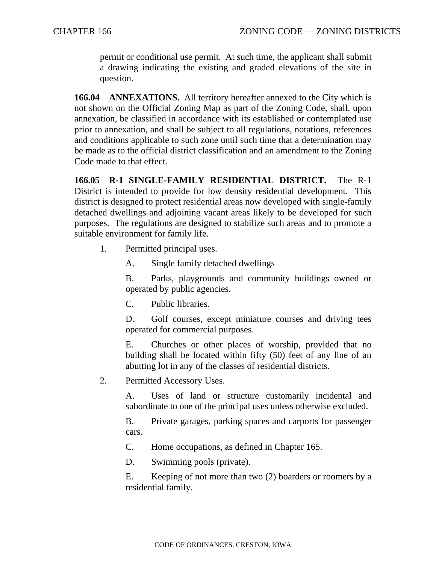permit or conditional use permit. At such time, the applicant shall submit a drawing indicating the existing and graded elevations of the site in question.

**166.04 ANNEXATIONS.** All territory hereafter annexed to the City which is not shown on the Official Zoning Map as part of the Zoning Code, shall, upon annexation, be classified in accordance with its established or contemplated use prior to annexation, and shall be subject to all regulations, notations, references and conditions applicable to such zone until such time that a determination may be made as to the official district classification and an amendment to the Zoning Code made to that effect.

**166.05 R-1 SINGLE-FAMILY RESIDENTIAL DISTRICT.** The R-1 District is intended to provide for low density residential development. This district is designed to protect residential areas now developed with single-family detached dwellings and adjoining vacant areas likely to be developed for such purposes. The regulations are designed to stabilize such areas and to promote a suitable environment for family life.

1. Permitted principal uses.

A. Single family detached dwellings

B. Parks, playgrounds and community buildings owned or operated by public agencies.

C. Public libraries.

D. Golf courses, except miniature courses and driving tees operated for commercial purposes.

E. Churches or other places of worship, provided that no building shall be located within fifty (50) feet of any line of an abutting lot in any of the classes of residential districts.

2. Permitted Accessory Uses.

A. Uses of land or structure customarily incidental and subordinate to one of the principal uses unless otherwise excluded.

B. Private garages, parking spaces and carports for passenger cars.

C. Home occupations, as defined in Chapter 165.

D. Swimming pools (private).

E. Keeping of not more than two (2) boarders or roomers by a residential family.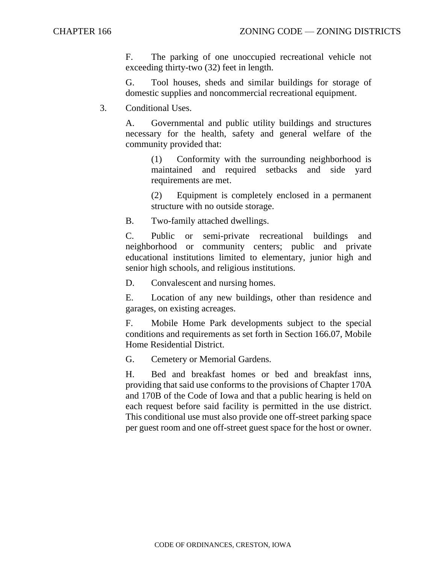F. The parking of one unoccupied recreational vehicle not exceeding thirty-two (32) feet in length.

G. Tool houses, sheds and similar buildings for storage of domestic supplies and noncommercial recreational equipment.

3. Conditional Uses.

A. Governmental and public utility buildings and structures necessary for the health, safety and general welfare of the community provided that:

(1) Conformity with the surrounding neighborhood is maintained and required setbacks and side yard requirements are met.

(2) Equipment is completely enclosed in a permanent structure with no outside storage.

B. Two-family attached dwellings.

C. Public or semi-private recreational buildings and neighborhood or community centers; public and private educational institutions limited to elementary, junior high and senior high schools, and religious institutions.

D. Convalescent and nursing homes.

E. Location of any new buildings, other than residence and garages, on existing acreages.

F. Mobile Home Park developments subject to the special conditions and requirements as set forth in Section 166.07, Mobile Home Residential District.

G. Cemetery or Memorial Gardens.

H. Bed and breakfast homes or bed and breakfast inns, providing that said use conforms to the provisions of Chapter 170A and 170B of the Code of Iowa and that a public hearing is held on each request before said facility is permitted in the use district. This conditional use must also provide one off-street parking space per guest room and one off-street guest space for the host or owner.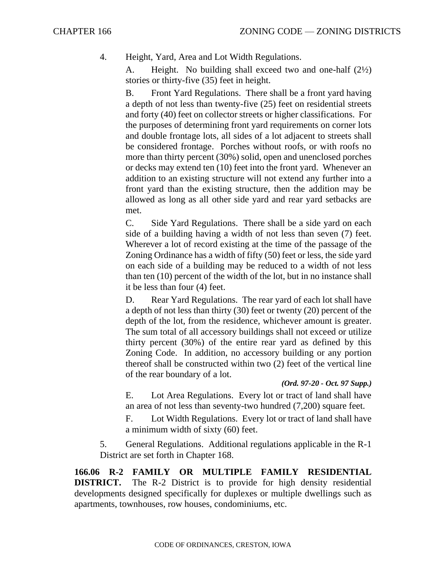4. Height, Yard, Area and Lot Width Regulations.

A. Height. No building shall exceed two and one-half (2½) stories or thirty-five (35) feet in height.

B. Front Yard Regulations. There shall be a front yard having a depth of not less than twenty-five (25) feet on residential streets and forty (40) feet on collector streets or higher classifications. For the purposes of determining front yard requirements on corner lots and double frontage lots, all sides of a lot adjacent to streets shall be considered frontage. Porches without roofs, or with roofs no more than thirty percent (30%) solid, open and unenclosed porches or decks may extend ten (10) feet into the front yard. Whenever an addition to an existing structure will not extend any further into a front yard than the existing structure, then the addition may be allowed as long as all other side yard and rear yard setbacks are met.

C. Side Yard Regulations. There shall be a side yard on each side of a building having a width of not less than seven (7) feet. Wherever a lot of record existing at the time of the passage of the Zoning Ordinance has a width of fifty (50) feet or less, the side yard on each side of a building may be reduced to a width of not less than ten (10) percent of the width of the lot, but in no instance shall it be less than four (4) feet.

D. Rear Yard Regulations. The rear yard of each lot shall have a depth of not less than thirty (30) feet or twenty (20) percent of the depth of the lot, from the residence, whichever amount is greater. The sum total of all accessory buildings shall not exceed or utilize thirty percent (30%) of the entire rear yard as defined by this Zoning Code. In addition, no accessory building or any portion thereof shall be constructed within two (2) feet of the vertical line of the rear boundary of a lot.

## *(Ord. 97-20 - Oct. 97 Supp.)*

E. Lot Area Regulations. Every lot or tract of land shall have an area of not less than seventy-two hundred (7,200) square feet.

F. Lot Width Regulations. Every lot or tract of land shall have a minimum width of sixty (60) feet.

5. General Regulations. Additional regulations applicable in the R-1 District are set forth in Chapter 168.

**166.06 R-2 FAMILY OR MULTIPLE FAMILY RESIDENTIAL DISTRICT.** The R-2 District is to provide for high density residential developments designed specifically for duplexes or multiple dwellings such as apartments, townhouses, row houses, condominiums, etc.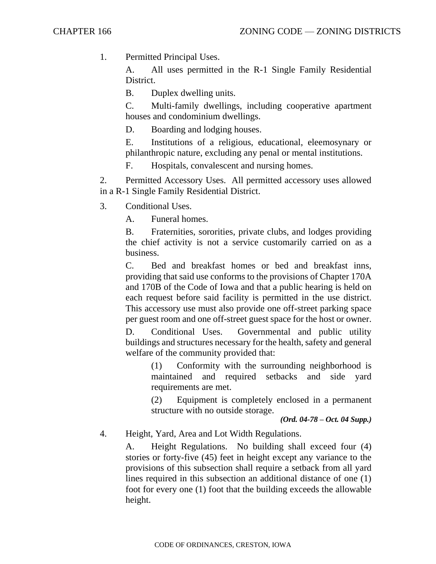1. Permitted Principal Uses.

A. All uses permitted in the R-1 Single Family Residential District.

B. Duplex dwelling units.

C. Multi-family dwellings, including cooperative apartment houses and condominium dwellings.

D. Boarding and lodging houses.

E. Institutions of a religious, educational, eleemosynary or philanthropic nature, excluding any penal or mental institutions.

F. Hospitals, convalescent and nursing homes.

2. Permitted Accessory Uses. All permitted accessory uses allowed in a R-1 Single Family Residential District.

3. Conditional Uses.

A. Funeral homes.

B. Fraternities, sororities, private clubs, and lodges providing the chief activity is not a service customarily carried on as a business.

C. Bed and breakfast homes or bed and breakfast inns, providing that said use conforms to the provisions of Chapter 170A and 170B of the Code of Iowa and that a public hearing is held on each request before said facility is permitted in the use district. This accessory use must also provide one off-street parking space per guest room and one off-street guest space for the host or owner.

D. Conditional Uses. Governmental and public utility buildings and structures necessary for the health, safety and general welfare of the community provided that:

(1) Conformity with the surrounding neighborhood is maintained and required setbacks and side yard requirements are met.

(2) Equipment is completely enclosed in a permanent structure with no outside storage.

*(Ord. 04-78 – Oct. 04 Supp.)*

4. Height, Yard, Area and Lot Width Regulations.

A. Height Regulations. No building shall exceed four (4) stories or forty-five (45) feet in height except any variance to the provisions of this subsection shall require a setback from all yard lines required in this subsection an additional distance of one (1) foot for every one (1) foot that the building exceeds the allowable height.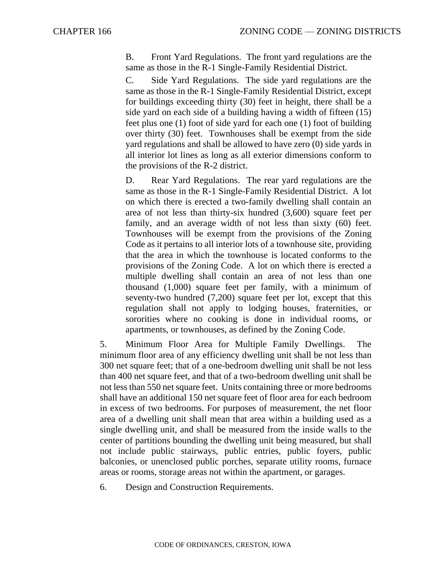B. Front Yard Regulations. The front yard regulations are the same as those in the R-1 Single-Family Residential District.

C. Side Yard Regulations. The side yard regulations are the same as those in the R-1 Single-Family Residential District, except for buildings exceeding thirty (30) feet in height, there shall be a side yard on each side of a building having a width of fifteen (15) feet plus one (1) foot of side yard for each one (1) foot of building over thirty (30) feet. Townhouses shall be exempt from the side yard regulations and shall be allowed to have zero (0) side yards in all interior lot lines as long as all exterior dimensions conform to the provisions of the R-2 district.

D. Rear Yard Regulations. The rear yard regulations are the same as those in the R-1 Single-Family Residential District. A lot on which there is erected a two-family dwelling shall contain an area of not less than thirty-six hundred (3,600) square feet per family, and an average width of not less than sixty (60) feet. Townhouses will be exempt from the provisions of the Zoning Code as it pertains to all interior lots of a townhouse site, providing that the area in which the townhouse is located conforms to the provisions of the Zoning Code. A lot on which there is erected a multiple dwelling shall contain an area of not less than one thousand (1,000) square feet per family, with a minimum of seventy-two hundred (7,200) square feet per lot, except that this regulation shall not apply to lodging houses, fraternities, or sororities where no cooking is done in individual rooms, or apartments, or townhouses, as defined by the Zoning Code.

5. Minimum Floor Area for Multiple Family Dwellings. The minimum floor area of any efficiency dwelling unit shall be not less than 300 net square feet; that of a one-bedroom dwelling unit shall be not less than 400 net square feet, and that of a two-bedroom dwelling unit shall be not less than 550 net square feet. Units containing three or more bedrooms shall have an additional 150 net square feet of floor area for each bedroom in excess of two bedrooms. For purposes of measurement, the net floor area of a dwelling unit shall mean that area within a building used as a single dwelling unit, and shall be measured from the inside walls to the center of partitions bounding the dwelling unit being measured, but shall not include public stairways, public entries, public foyers, public balconies, or unenclosed public porches, separate utility rooms, furnace areas or rooms, storage areas not within the apartment, or garages.

6. Design and Construction Requirements.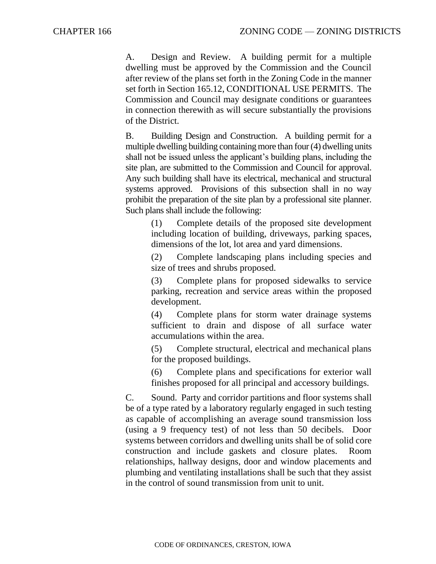A. Design and Review. A building permit for a multiple dwelling must be approved by the Commission and the Council after review of the plans set forth in the Zoning Code in the manner set forth in Section 165.12, CONDITIONAL USE PERMITS. The Commission and Council may designate conditions or guarantees in connection therewith as will secure substantially the provisions of the District.

B. Building Design and Construction. A building permit for a multiple dwelling building containing more than four (4) dwelling units shall not be issued unless the applicant's building plans, including the site plan, are submitted to the Commission and Council for approval. Any such building shall have its electrical, mechanical and structural systems approved. Provisions of this subsection shall in no way prohibit the preparation of the site plan by a professional site planner. Such plans shall include the following:

> (1) Complete details of the proposed site development including location of building, driveways, parking spaces, dimensions of the lot, lot area and yard dimensions.

> (2) Complete landscaping plans including species and size of trees and shrubs proposed.

> (3) Complete plans for proposed sidewalks to service parking, recreation and service areas within the proposed development.

> (4) Complete plans for storm water drainage systems sufficient to drain and dispose of all surface water accumulations within the area.

> (5) Complete structural, electrical and mechanical plans for the proposed buildings.

> (6) Complete plans and specifications for exterior wall finishes proposed for all principal and accessory buildings.

C. Sound. Party and corridor partitions and floor systems shall be of a type rated by a laboratory regularly engaged in such testing as capable of accomplishing an average sound transmission loss (using a 9 frequency test) of not less than 50 decibels. Door systems between corridors and dwelling units shall be of solid core construction and include gaskets and closure plates. Room relationships, hallway designs, door and window placements and plumbing and ventilating installations shall be such that they assist in the control of sound transmission from unit to unit.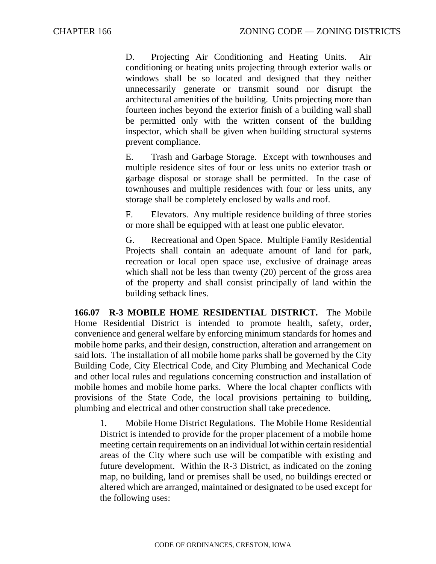D. Projecting Air Conditioning and Heating Units. Air conditioning or heating units projecting through exterior walls or windows shall be so located and designed that they neither unnecessarily generate or transmit sound nor disrupt the architectural amenities of the building. Units projecting more than fourteen inches beyond the exterior finish of a building wall shall be permitted only with the written consent of the building inspector, which shall be given when building structural systems prevent compliance.

E. Trash and Garbage Storage. Except with townhouses and multiple residence sites of four or less units no exterior trash or garbage disposal or storage shall be permitted. In the case of townhouses and multiple residences with four or less units, any storage shall be completely enclosed by walls and roof.

F. Elevators. Any multiple residence building of three stories or more shall be equipped with at least one public elevator.

G. Recreational and Open Space. Multiple Family Residential Projects shall contain an adequate amount of land for park, recreation or local open space use, exclusive of drainage areas which shall not be less than twenty (20) percent of the gross area of the property and shall consist principally of land within the building setback lines.

**166.07 R-3 MOBILE HOME RESIDENTIAL DISTRICT.** The Mobile Home Residential District is intended to promote health, safety, order, convenience and general welfare by enforcing minimum standards for homes and mobile home parks, and their design, construction, alteration and arrangement on said lots. The installation of all mobile home parks shall be governed by the City Building Code, City Electrical Code, and City Plumbing and Mechanical Code and other local rules and regulations concerning construction and installation of mobile homes and mobile home parks. Where the local chapter conflicts with provisions of the State Code, the local provisions pertaining to building, plumbing and electrical and other construction shall take precedence.

1. Mobile Home District Regulations. The Mobile Home Residential District is intended to provide for the proper placement of a mobile home meeting certain requirements on an individual lot within certain residential areas of the City where such use will be compatible with existing and future development. Within the R-3 District, as indicated on the zoning map, no building, land or premises shall be used, no buildings erected or altered which are arranged, maintained or designated to be used except for the following uses: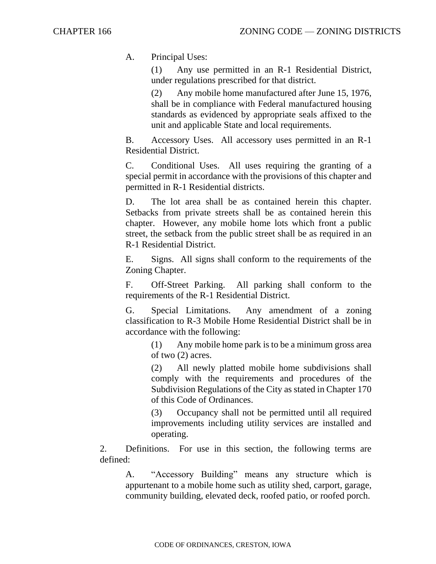A. Principal Uses:

(1) Any use permitted in an R-1 Residential District, under regulations prescribed for that district.

(2) Any mobile home manufactured after June 15, 1976, shall be in compliance with Federal manufactured housing standards as evidenced by appropriate seals affixed to the unit and applicable State and local requirements.

B. Accessory Uses. All accessory uses permitted in an R-1 Residential District.

C. Conditional Uses. All uses requiring the granting of a special permit in accordance with the provisions of this chapter and permitted in R-1 Residential districts.

D. The lot area shall be as contained herein this chapter. Setbacks from private streets shall be as contained herein this chapter. However, any mobile home lots which front a public street, the setback from the public street shall be as required in an R-1 Residential District.

E. Signs. All signs shall conform to the requirements of the Zoning Chapter.

F. Off-Street Parking. All parking shall conform to the requirements of the R-1 Residential District.

G. Special Limitations. Any amendment of a zoning classification to R-3 Mobile Home Residential District shall be in accordance with the following:

> (1) Any mobile home park is to be a minimum gross area of two (2) acres.

> (2) All newly platted mobile home subdivisions shall comply with the requirements and procedures of the Subdivision Regulations of the City as stated in Chapter 170 of this Code of Ordinances.

> (3) Occupancy shall not be permitted until all required improvements including utility services are installed and operating.

2. Definitions. For use in this section, the following terms are defined:

A. "Accessory Building" means any structure which is appurtenant to a mobile home such as utility shed, carport, garage, community building, elevated deck, roofed patio, or roofed porch.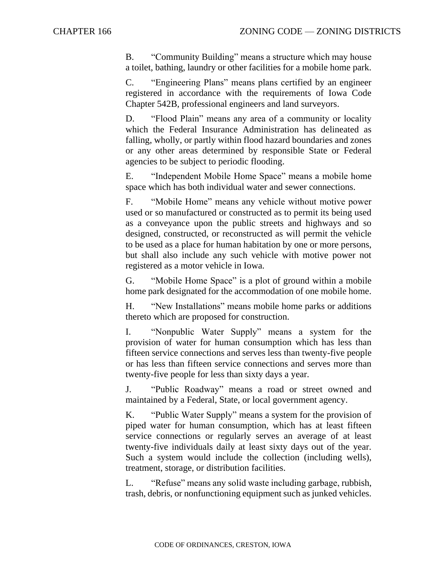B. "Community Building" means a structure which may house a toilet, bathing, laundry or other facilities for a mobile home park.

C. "Engineering Plans" means plans certified by an engineer registered in accordance with the requirements of Iowa Code Chapter 542B, professional engineers and land surveyors.

D. "Flood Plain" means any area of a community or locality which the Federal Insurance Administration has delineated as falling, wholly, or partly within flood hazard boundaries and zones or any other areas determined by responsible State or Federal agencies to be subject to periodic flooding.

E. "Independent Mobile Home Space" means a mobile home space which has both individual water and sewer connections.

F. "Mobile Home" means any vehicle without motive power used or so manufactured or constructed as to permit its being used as a conveyance upon the public streets and highways and so designed, constructed, or reconstructed as will permit the vehicle to be used as a place for human habitation by one or more persons, but shall also include any such vehicle with motive power not registered as a motor vehicle in Iowa.

G. "Mobile Home Space" is a plot of ground within a mobile home park designated for the accommodation of one mobile home.

H. "New Installations" means mobile home parks or additions thereto which are proposed for construction.

I. "Nonpublic Water Supply" means a system for the provision of water for human consumption which has less than fifteen service connections and serves less than twenty-five people or has less than fifteen service connections and serves more than twenty-five people for less than sixty days a year.

J. "Public Roadway" means a road or street owned and maintained by a Federal, State, or local government agency.

K. "Public Water Supply" means a system for the provision of piped water for human consumption, which has at least fifteen service connections or regularly serves an average of at least twenty-five individuals daily at least sixty days out of the year. Such a system would include the collection (including wells), treatment, storage, or distribution facilities.

L. "Refuse" means any solid waste including garbage, rubbish, trash, debris, or nonfunctioning equipment such as junked vehicles.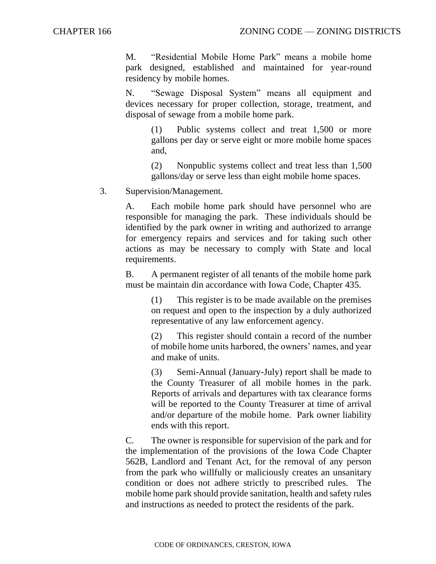M. "Residential Mobile Home Park" means a mobile home park designed, established and maintained for year-round residency by mobile homes.

N. "Sewage Disposal System" means all equipment and devices necessary for proper collection, storage, treatment, and disposal of sewage from a mobile home park.

> (1) Public systems collect and treat 1,500 or more gallons per day or serve eight or more mobile home spaces and,

> (2) Nonpublic systems collect and treat less than 1,500 gallons/day or serve less than eight mobile home spaces.

3. Supervision/Management.

A. Each mobile home park should have personnel who are responsible for managing the park. These individuals should be identified by the park owner in writing and authorized to arrange for emergency repairs and services and for taking such other actions as may be necessary to comply with State and local requirements.

B. A permanent register of all tenants of the mobile home park must be maintain din accordance with Iowa Code, Chapter 435.

> (1) This register is to be made available on the premises on request and open to the inspection by a duly authorized representative of any law enforcement agency.

> (2) This register should contain a record of the number of mobile home units harbored, the owners' names, and year and make of units.

> (3) Semi-Annual (January-July) report shall be made to the County Treasurer of all mobile homes in the park. Reports of arrivals and departures with tax clearance forms will be reported to the County Treasurer at time of arrival and/or departure of the mobile home. Park owner liability ends with this report.

C. The owner is responsible for supervision of the park and for the implementation of the provisions of the Iowa Code Chapter 562B, Landlord and Tenant Act, for the removal of any person from the park who willfully or maliciously creates an unsanitary condition or does not adhere strictly to prescribed rules. The mobile home park should provide sanitation, health and safety rules and instructions as needed to protect the residents of the park.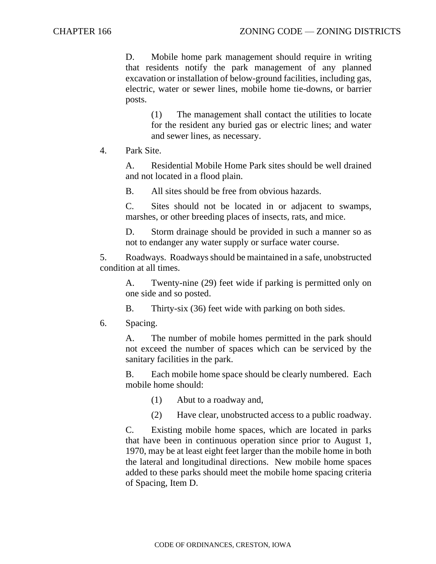D. Mobile home park management should require in writing that residents notify the park management of any planned excavation or installation of below-ground facilities, including gas, electric, water or sewer lines, mobile home tie-downs, or barrier posts.

> (1) The management shall contact the utilities to locate for the resident any buried gas or electric lines; and water and sewer lines, as necessary.

4. Park Site.

A. Residential Mobile Home Park sites should be well drained and not located in a flood plain.

B. All sites should be free from obvious hazards.

C. Sites should not be located in or adjacent to swamps, marshes, or other breeding places of insects, rats, and mice.

D. Storm drainage should be provided in such a manner so as not to endanger any water supply or surface water course.

5. Roadways. Roadways should be maintained in a safe, unobstructed condition at all times.

A. Twenty-nine (29) feet wide if parking is permitted only on one side and so posted.

B. Thirty-six (36) feet wide with parking on both sides.

## 6. Spacing.

A. The number of mobile homes permitted in the park should not exceed the number of spaces which can be serviced by the sanitary facilities in the park.

B. Each mobile home space should be clearly numbered. Each mobile home should:

(1) Abut to a roadway and,

(2) Have clear, unobstructed access to a public roadway.

C. Existing mobile home spaces, which are located in parks that have been in continuous operation since prior to August 1, 1970, may be at least eight feet larger than the mobile home in both the lateral and longitudinal directions. New mobile home spaces added to these parks should meet the mobile home spacing criteria of Spacing, Item D.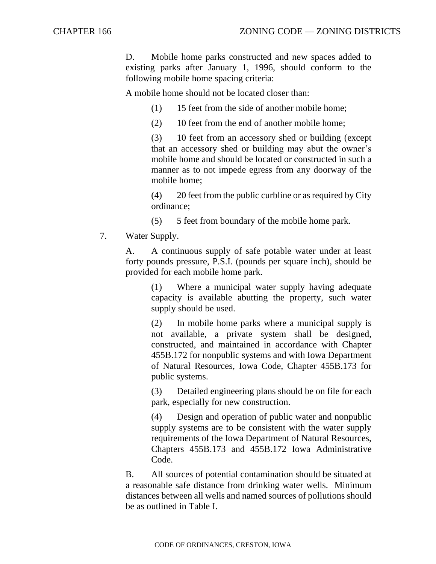D. Mobile home parks constructed and new spaces added to existing parks after January 1, 1996, should conform to the following mobile home spacing criteria:

A mobile home should not be located closer than:

(1) 15 feet from the side of another mobile home;

(2) 10 feet from the end of another mobile home;

(3) 10 feet from an accessory shed or building (except that an accessory shed or building may abut the owner's mobile home and should be located or constructed in such a manner as to not impede egress from any doorway of the mobile home;

(4) 20 feet from the public curbline or as required by City ordinance;

(5) 5 feet from boundary of the mobile home park.

7. Water Supply.

A. A continuous supply of safe potable water under at least forty pounds pressure, P.S.I. (pounds per square inch), should be provided for each mobile home park.

> (1) Where a municipal water supply having adequate capacity is available abutting the property, such water supply should be used.

> (2) In mobile home parks where a municipal supply is not available, a private system shall be designed, constructed, and maintained in accordance with Chapter 455B.172 for nonpublic systems and with Iowa Department of Natural Resources, Iowa Code, Chapter 455B.173 for public systems.

> (3) Detailed engineering plans should be on file for each park, especially for new construction.

> (4) Design and operation of public water and nonpublic supply systems are to be consistent with the water supply requirements of the Iowa Department of Natural Resources, Chapters 455B.173 and 455B.172 Iowa Administrative Code.

B. All sources of potential contamination should be situated at a reasonable safe distance from drinking water wells. Minimum distances between all wells and named sources of pollutions should be as outlined in Table I.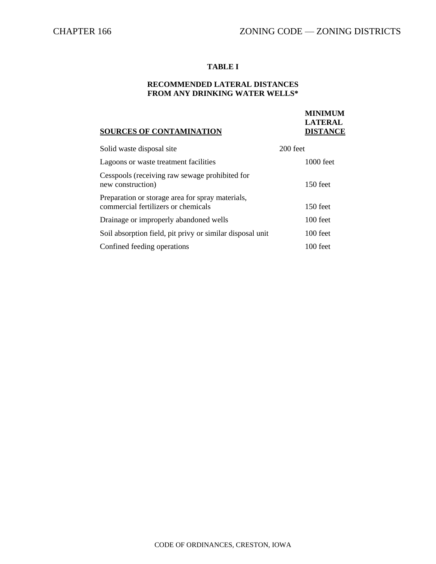**MINIMUM LATERAL**

## **TABLE I**

## **RECOMMENDED LATERAL DISTANCES FROM ANY DRINKING WATER WELLS\***

## **SOURCES OF CONTAMINATION DISTANCE**

| Solid waste disposal site                                                               | 200 feet    |
|-----------------------------------------------------------------------------------------|-------------|
| Lagoons or waste treatment facilities                                                   | $1000$ feet |
| Cesspools (receiving raw sewage prohibited for<br>new construction)                     | 150 feet    |
| Preparation or storage area for spray materials,<br>commercial fertilizers or chemicals | 150 feet    |
| Drainage or improperly abandoned wells                                                  | 100 feet    |
| Soil absorption field, pit privy or similar disposal unit                               | 100 feet    |
| Confined feeding operations                                                             | 100 feet    |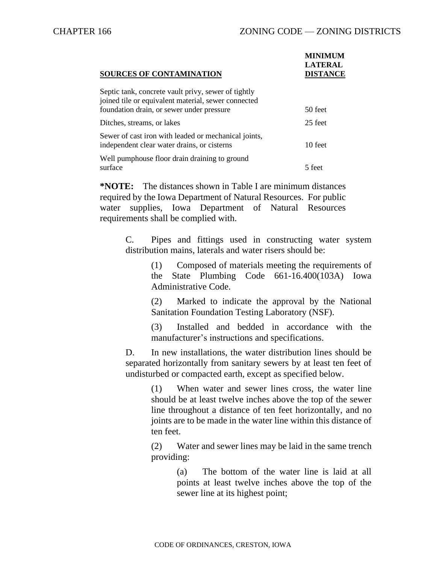| <b>SOURCES OF CONTAMINATION</b>                                                                                                                         | <b>MINIMUM</b><br><b>LATERAL</b><br><b>DISTANCE</b> |
|---------------------------------------------------------------------------------------------------------------------------------------------------------|-----------------------------------------------------|
| Septic tank, concrete vault privy, sewer of tightly<br>joined tile or equivalent material, sewer connected<br>foundation drain, or sewer under pressure | 50 feet                                             |
| Ditches, streams, or lakes                                                                                                                              | 25 feet                                             |
| Sewer of cast iron with leaded or mechanical joints,<br>independent clear water drains, or cisterns                                                     | 10 feet                                             |
| Well pumphouse floor drain draining to ground<br>surface                                                                                                | 5 feet                                              |

**\*NOTE:** The distances shown in Table I are minimum distances required by the Iowa Department of Natural Resources. For public water supplies, Iowa Department of Natural Resources requirements shall be complied with.

> C. Pipes and fittings used in constructing water system distribution mains, laterals and water risers should be:

> > (1) Composed of materials meeting the requirements of the State Plumbing Code 661-16.400(103A) Iowa Administrative Code.

> > (2) Marked to indicate the approval by the National Sanitation Foundation Testing Laboratory (NSF).

> > (3) Installed and bedded in accordance with the manufacturer's instructions and specifications.

D. In new installations, the water distribution lines should be separated horizontally from sanitary sewers by at least ten feet of undisturbed or compacted earth, except as specified below.

> (1) When water and sewer lines cross, the water line should be at least twelve inches above the top of the sewer line throughout a distance of ten feet horizontally, and no joints are to be made in the water line within this distance of ten feet.

> (2) Water and sewer lines may be laid in the same trench providing:

> > (a) The bottom of the water line is laid at all points at least twelve inches above the top of the sewer line at its highest point;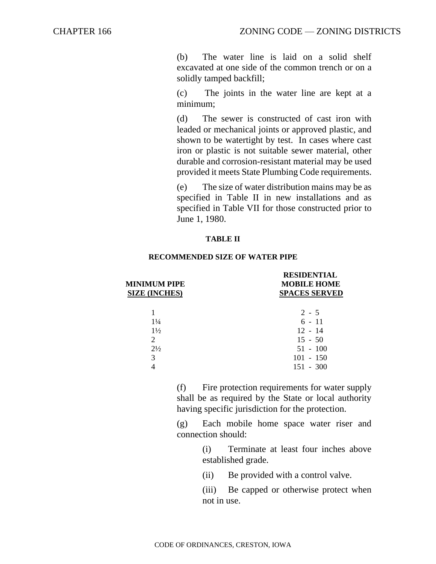(b) The water line is laid on a solid shelf excavated at one side of the common trench or on a solidly tamped backfill;

(c) The joints in the water line are kept at a minimum;

(d) The sewer is constructed of cast iron with leaded or mechanical joints or approved plastic, and shown to be watertight by test. In cases where cast iron or plastic is not suitable sewer material, other durable and corrosion-resistant material may be used provided it meets State Plumbing Code requirements.

(e) The size of water distribution mains may be as specified in Table II in new installations and as specified in Table VII for those constructed prior to June 1, 1980.

### **TABLE II**

# **RESIDENTIAL MINIMUM PIPE MOBILE HOME SIZE (INCHES) SPACES SERVED**  $1$  2 - 5  $1\frac{1}{4}$  6 - 11  $1\frac{1}{2}$  12 - 14 2 15 - 50  $2\frac{1}{2}$  51 - 100 3 101 - 150 4 151 - 300

#### **RECOMMENDED SIZE OF WATER PIPE**

(f) Fire protection requirements for water supply shall be as required by the State or local authority having specific jurisdiction for the protection.

(g) Each mobile home space water riser and connection should:

> (i) Terminate at least four inches above established grade.

(ii) Be provided with a control valve.

(iii) Be capped or otherwise protect when not in use.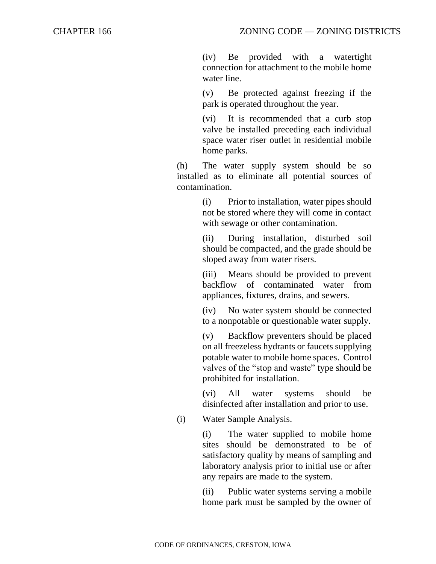(iv) Be provided with a watertight connection for attachment to the mobile home water line.

(v) Be protected against freezing if the park is operated throughout the year.

(vi) It is recommended that a curb stop valve be installed preceding each individual space water riser outlet in residential mobile home parks.

(h) The water supply system should be so installed as to eliminate all potential sources of contamination.

> (i) Prior to installation, water pipes should not be stored where they will come in contact with sewage or other contamination.

> (ii) During installation, disturbed soil should be compacted, and the grade should be sloped away from water risers.

> (iii) Means should be provided to prevent backflow of contaminated water from appliances, fixtures, drains, and sewers.

> (iv) No water system should be connected to a nonpotable or questionable water supply.

> (v) Backflow preventers should be placed on all freezeless hydrants or faucets supplying potable water to mobile home spaces. Control valves of the "stop and waste" type should be prohibited for installation.

> (vi) All water systems should be disinfected after installation and prior to use.

(i) Water Sample Analysis.

(i) The water supplied to mobile home sites should be demonstrated to be of satisfactory quality by means of sampling and laboratory analysis prior to initial use or after any repairs are made to the system.

(ii) Public water systems serving a mobile home park must be sampled by the owner of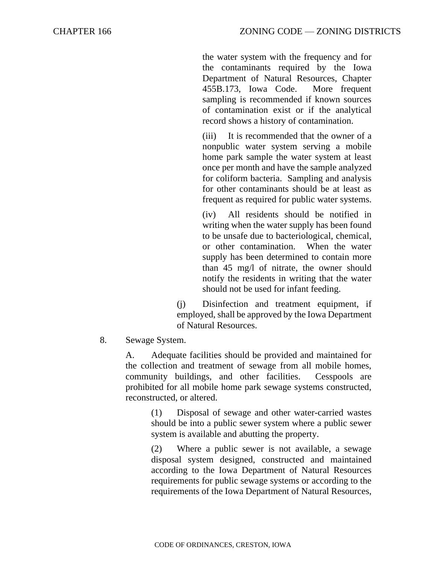the water system with the frequency and for the contaminants required by the Iowa Department of Natural Resources, Chapter 455B.173, Iowa Code. More frequent sampling is recommended if known sources of contamination exist or if the analytical record shows a history of contamination.

(iii) It is recommended that the owner of a nonpublic water system serving a mobile home park sample the water system at least once per month and have the sample analyzed for coliform bacteria. Sampling and analysis for other contaminants should be at least as frequent as required for public water systems.

(iv) All residents should be notified in writing when the water supply has been found to be unsafe due to bacteriological, chemical, or other contamination. When the water supply has been determined to contain more than 45 mg/l of nitrate, the owner should notify the residents in writing that the water should not be used for infant feeding.

(j) Disinfection and treatment equipment, if employed, shall be approved by the Iowa Department of Natural Resources.

8. Sewage System.

A. Adequate facilities should be provided and maintained for the collection and treatment of sewage from all mobile homes, community buildings, and other facilities. Cesspools are prohibited for all mobile home park sewage systems constructed, reconstructed, or altered.

> (1) Disposal of sewage and other water-carried wastes should be into a public sewer system where a public sewer system is available and abutting the property.

> (2) Where a public sewer is not available, a sewage disposal system designed, constructed and maintained according to the Iowa Department of Natural Resources requirements for public sewage systems or according to the requirements of the Iowa Department of Natural Resources,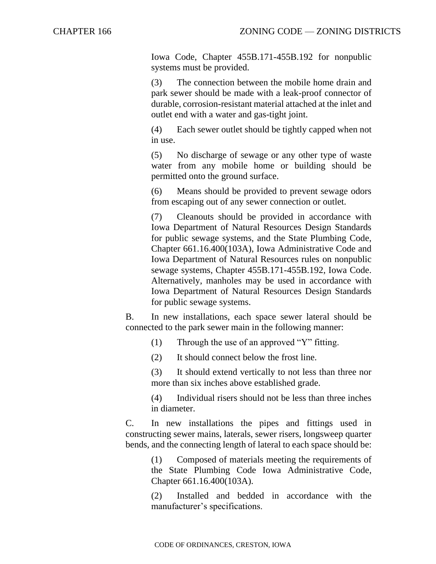Iowa Code, Chapter 455B.171-455B.192 for nonpublic systems must be provided.

(3) The connection between the mobile home drain and park sewer should be made with a leak-proof connector of durable, corrosion-resistant material attached at the inlet and outlet end with a water and gas-tight joint.

(4) Each sewer outlet should be tightly capped when not in use.

(5) No discharge of sewage or any other type of waste water from any mobile home or building should be permitted onto the ground surface.

(6) Means should be provided to prevent sewage odors from escaping out of any sewer connection or outlet.

(7) Cleanouts should be provided in accordance with Iowa Department of Natural Resources Design Standards for public sewage systems, and the State Plumbing Code, Chapter 661.16.400(103A), Iowa Administrative Code and Iowa Department of Natural Resources rules on nonpublic sewage systems, Chapter 455B.171-455B.192, Iowa Code. Alternatively, manholes may be used in accordance with Iowa Department of Natural Resources Design Standards for public sewage systems.

B. In new installations, each space sewer lateral should be connected to the park sewer main in the following manner:

(1) Through the use of an approved "Y" fitting.

(2) It should connect below the frost line.

(3) It should extend vertically to not less than three nor more than six inches above established grade.

(4) Individual risers should not be less than three inches in diameter.

C. In new installations the pipes and fittings used in constructing sewer mains, laterals, sewer risers, longsweep quarter bends, and the connecting length of lateral to each space should be:

> (1) Composed of materials meeting the requirements of the State Plumbing Code Iowa Administrative Code, Chapter 661.16.400(103A).

> (2) Installed and bedded in accordance with the manufacturer's specifications.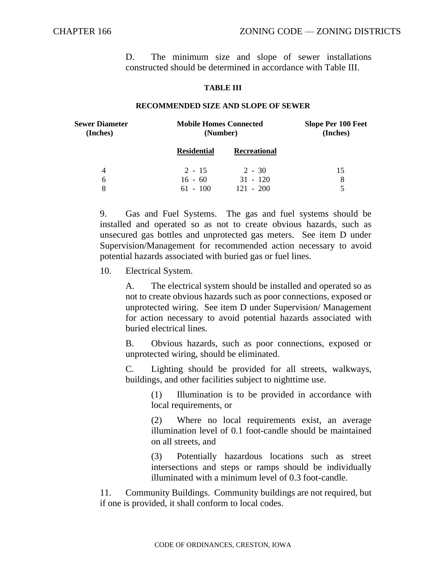D. The minimum size and slope of sewer installations constructed should be determined in accordance with Table III.

#### **TABLE III**

#### **RECOMMENDED SIZE AND SLOPE OF SEWER**

| <b>Sewer Diameter</b><br>(Inches) | <b>Mobile Homes Connected</b><br>(Number) |                     | <b>Slope Per 100 Feet</b><br>(Inches) |
|-----------------------------------|-------------------------------------------|---------------------|---------------------------------------|
|                                   | <b>Residential</b>                        | <b>Recreational</b> |                                       |
| 4                                 | $2 - 15$                                  | $2 - 30$            | 15                                    |
| 6                                 | $16 - 60$                                 | $31 - 120$          | 8                                     |
| 8                                 | $61 - 100$                                | $121 - 200$         | 5                                     |

9. Gas and Fuel Systems. The gas and fuel systems should be installed and operated so as not to create obvious hazards, such as unsecured gas bottles and unprotected gas meters. See item D under Supervision/Management for recommended action necessary to avoid potential hazards associated with buried gas or fuel lines.

10. Electrical System.

A. The electrical system should be installed and operated so as not to create obvious hazards such as poor connections, exposed or unprotected wiring. See item D under Supervision/ Management for action necessary to avoid potential hazards associated with buried electrical lines.

B. Obvious hazards, such as poor connections, exposed or unprotected wiring, should be eliminated.

C. Lighting should be provided for all streets, walkways, buildings, and other facilities subject to nighttime use.

(1) Illumination is to be provided in accordance with local requirements, or

(2) Where no local requirements exist, an average illumination level of 0.1 foot-candle should be maintained on all streets, and

(3) Potentially hazardous locations such as street intersections and steps or ramps should be individually illuminated with a minimum level of 0.3 foot-candle.

11. Community Buildings. Community buildings are not required, but if one is provided, it shall conform to local codes.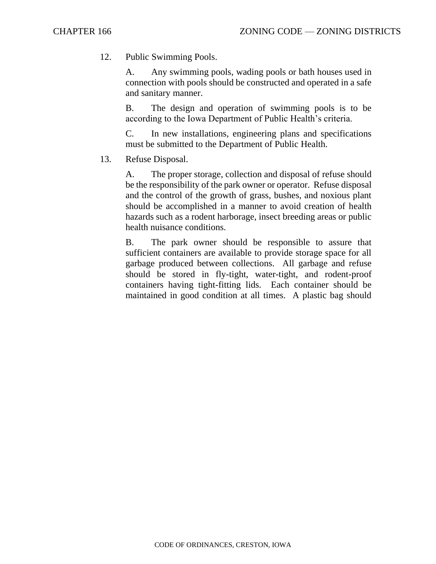12. Public Swimming Pools.

A. Any swimming pools, wading pools or bath houses used in connection with pools should be constructed and operated in a safe and sanitary manner.

B. The design and operation of swimming pools is to be according to the Iowa Department of Public Health's criteria.

C. In new installations, engineering plans and specifications must be submitted to the Department of Public Health.

13. Refuse Disposal.

A. The proper storage, collection and disposal of refuse should be the responsibility of the park owner or operator. Refuse disposal and the control of the growth of grass, bushes, and noxious plant should be accomplished in a manner to avoid creation of health hazards such as a rodent harborage, insect breeding areas or public health nuisance conditions.

B. The park owner should be responsible to assure that sufficient containers are available to provide storage space for all garbage produced between collections. All garbage and refuse should be stored in fly-tight, water-tight, and rodent-proof containers having tight-fitting lids. Each container should be maintained in good condition at all times. A plastic bag should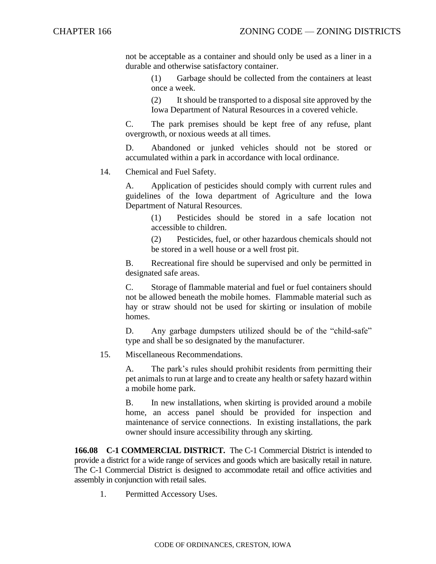not be acceptable as a container and should only be used as a liner in a durable and otherwise satisfactory container.

> (1) Garbage should be collected from the containers at least once a week.

> (2) It should be transported to a disposal site approved by the Iowa Department of Natural Resources in a covered vehicle.

C. The park premises should be kept free of any refuse, plant overgrowth, or noxious weeds at all times.

D. Abandoned or junked vehicles should not be stored or accumulated within a park in accordance with local ordinance.

14. Chemical and Fuel Safety.

A. Application of pesticides should comply with current rules and guidelines of the Iowa department of Agriculture and the Iowa Department of Natural Resources.

> (1) Pesticides should be stored in a safe location not accessible to children.

> (2) Pesticides, fuel, or other hazardous chemicals should not be stored in a well house or a well frost pit.

B. Recreational fire should be supervised and only be permitted in designated safe areas.

C. Storage of flammable material and fuel or fuel containers should not be allowed beneath the mobile homes. Flammable material such as hay or straw should not be used for skirting or insulation of mobile homes.

D. Any garbage dumpsters utilized should be of the "child-safe" type and shall be so designated by the manufacturer.

15. Miscellaneous Recommendations.

A. The park's rules should prohibit residents from permitting their pet animals to run at large and to create any health or safety hazard within a mobile home park.

B. In new installations, when skirting is provided around a mobile home, an access panel should be provided for inspection and maintenance of service connections. In existing installations, the park owner should insure accessibility through any skirting.

**166.08 C-1 COMMERCIAL DISTRICT.** The C-1 Commercial District is intended to provide a district for a wide range of services and goods which are basically retail in nature. The C-1 Commercial District is designed to accommodate retail and office activities and assembly in conjunction with retail sales.

1. Permitted Accessory Uses.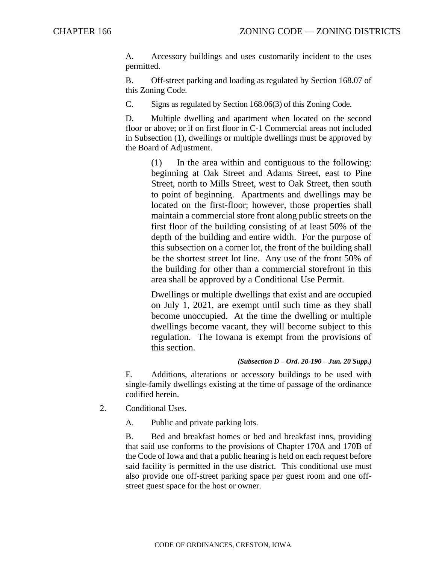A. Accessory buildings and uses customarily incident to the uses permitted.

B. Off-street parking and loading as regulated by Section 168.07 of this Zoning Code.

C. Signs as regulated by Section 168.06(3) of this Zoning Code.

D. Multiple dwelling and apartment when located on the second floor or above; or if on first floor in C-1 Commercial areas not included in Subsection (1), dwellings or multiple dwellings must be approved by the Board of Adjustment.

> (1) In the area within and contiguous to the following: beginning at Oak Street and Adams Street, east to Pine Street, north to Mills Street, west to Oak Street, then south to point of beginning. Apartments and dwellings may be located on the first-floor; however, those properties shall maintain a commercial store front along public streets on the first floor of the building consisting of at least 50% of the depth of the building and entire width. For the purpose of this subsection on a corner lot, the front of the building shall be the shortest street lot line. Any use of the front 50% of the building for other than a commercial storefront in this area shall be approved by a Conditional Use Permit.

> Dwellings or multiple dwellings that exist and are occupied on July 1, 2021, are exempt until such time as they shall become unoccupied. At the time the dwelling or multiple dwellings become vacant, they will become subject to this regulation. The Iowana is exempt from the provisions of this section.

#### *(Subsection D – Ord. 20-190 – Jun. 20 Supp.)*

E. Additions, alterations or accessory buildings to be used with single-family dwellings existing at the time of passage of the ordinance codified herein.

2. Conditional Uses.

A. Public and private parking lots.

B. Bed and breakfast homes or bed and breakfast inns, providing that said use conforms to the provisions of Chapter 170A and 170B of the Code of Iowa and that a public hearing is held on each request before said facility is permitted in the use district. This conditional use must also provide one off-street parking space per guest room and one offstreet guest space for the host or owner.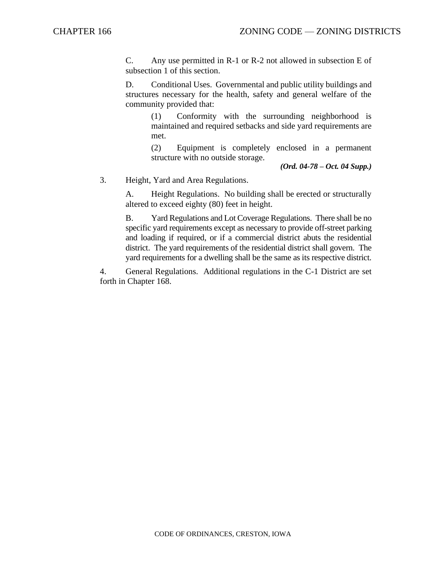C. Any use permitted in R-1 or R-2 not allowed in subsection E of subsection 1 of this section.

D. Conditional Uses. Governmental and public utility buildings and structures necessary for the health, safety and general welfare of the community provided that:

(1) Conformity with the surrounding neighborhood is maintained and required setbacks and side yard requirements are met.

(2) Equipment is completely enclosed in a permanent structure with no outside storage.

*(Ord. 04-78 – Oct. 04 Supp.)*

3. Height, Yard and Area Regulations.

A. Height Regulations. No building shall be erected or structurally altered to exceed eighty (80) feet in height.

B. Yard Regulations and Lot Coverage Regulations. There shall be no specific yard requirements except as necessary to provide off-street parking and loading if required, or if a commercial district abuts the residential district. The yard requirements of the residential district shall govern. The yard requirements for a dwelling shall be the same as its respective district.

4. General Regulations. Additional regulations in the C-1 District are set forth in Chapter 168.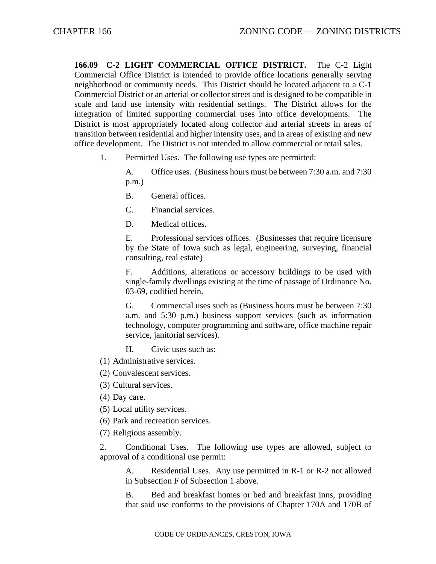**166.09 C-2 LIGHT COMMERCIAL OFFICE DISTRICT.** The C-2 Light Commercial Office District is intended to provide office locations generally serving neighborhood or community needs. This District should be located adjacent to a C-1 Commercial District or an arterial or collector street and is designed to be compatible in scale and land use intensity with residential settings. The District allows for the integration of limited supporting commercial uses into office developments. The District is most appropriately located along collector and arterial streets in areas of transition between residential and higher intensity uses, and in areas of existing and new office development. The District is not intended to allow commercial or retail sales.

1. Permitted Uses. The following use types are permitted:

A. Office uses. (Business hours must be between 7:30 a.m. and 7:30 p.m.)

- B. General offices.
- C. Financial services.
- D. Medical offices.

E. Professional services offices. (Businesses that require licensure by the State of Iowa such as legal, engineering, surveying, financial consulting, real estate)

F. Additions, alterations or accessory buildings to be used with single-family dwellings existing at the time of passage of Ordinance No. 03-69, codified herein.

G. Commercial uses such as (Business hours must be between 7:30 a.m. and 5:30 p.m.) business support services (such as information technology, computer programming and software, office machine repair service, janitorial services).

H. Civic uses such as:

- (1) Administrative services.
- (2) Convalescent services.
- (3) Cultural services.
- (4) Day care.
- (5) Local utility services.
- (6) Park and recreation services.

(7) Religious assembly.

2. Conditional Uses. The following use types are allowed, subject to approval of a conditional use permit:

A. Residential Uses. Any use permitted in R-1 or R-2 not allowed in Subsection F of Subsection 1 above.

B. Bed and breakfast homes or bed and breakfast inns, providing that said use conforms to the provisions of Chapter 170A and 170B of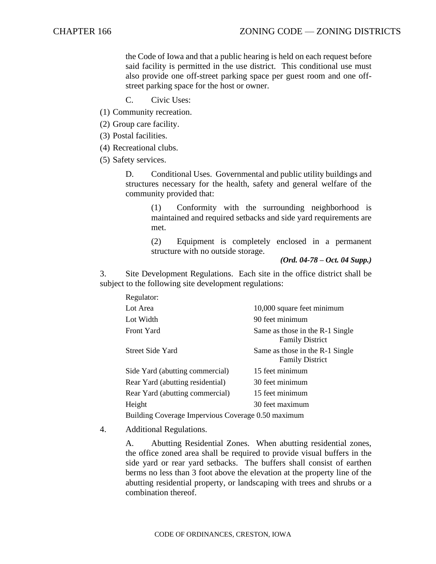the Code of Iowa and that a public hearing is held on each request before said facility is permitted in the use district. This conditional use must also provide one off-street parking space per guest room and one offstreet parking space for the host or owner.

- C. Civic Uses:
- (1) Community recreation.
- (2) Group care facility.

(3) Postal facilities.

(4) Recreational clubs.

(5) Safety services.

D. Conditional Uses. Governmental and public utility buildings and structures necessary for the health, safety and general welfare of the community provided that:

> (1) Conformity with the surrounding neighborhood is maintained and required setbacks and side yard requirements are met.

> (2) Equipment is completely enclosed in a permanent structure with no outside storage.

> > *(Ord. 04-78 – Oct. 04 Supp.)*

3. Site Development Regulations. Each site in the office district shall be subject to the following site development regulations:

| Regulator:                                         |                                                           |
|----------------------------------------------------|-----------------------------------------------------------|
| Lot Area                                           | 10,000 square feet minimum                                |
| Lot Width                                          | 90 feet minimum                                           |
| <b>Front Yard</b>                                  | Same as those in the R-1 Single<br><b>Family District</b> |
| <b>Street Side Yard</b>                            | Same as those in the R-1 Single<br><b>Family District</b> |
| Side Yard (abutting commercial)                    | 15 feet minimum                                           |
| Rear Yard (abutting residential)                   | 30 feet minimum                                           |
| Rear Yard (abutting commercial)                    | 15 feet minimum                                           |
| Height                                             | 30 feet maximum                                           |
| Building Coverage Impervious Coverage 0.50 maximum |                                                           |

4. Additional Regulations.

A. Abutting Residential Zones. When abutting residential zones, the office zoned area shall be required to provide visual buffers in the side yard or rear yard setbacks. The buffers shall consist of earthen berms no less than 3 foot above the elevation at the property line of the abutting residential property, or landscaping with trees and shrubs or a combination thereof.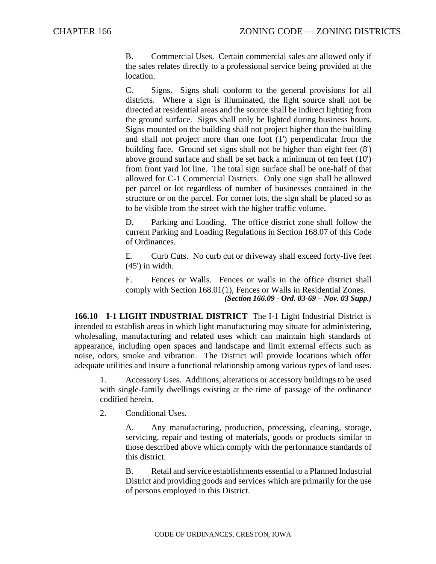B. Commercial Uses. Certain commercial sales are allowed only if the sales relates directly to a professional service being provided at the location.

C. Signs. Signs shall conform to the general provisions for all districts. Where a sign is illuminated, the light source shall not be directed at residential areas and the source shall be indirect lighting from the ground surface. Signs shall only be lighted during business hours. Signs mounted on the building shall not project higher than the building and shall not project more than one foot (1') perpendicular from the building face. Ground set signs shall not be higher than eight feet (8') above ground surface and shall be set back a minimum of ten feet (10') from front yard lot line. The total sign surface shall be one-half of that allowed for C-1 Commercial Districts. Only one sign shall be allowed per parcel or lot regardless of number of businesses contained in the structure or on the parcel. For corner lots, the sign shall be placed so as to be visible from the street with the higher traffic volume.

D. Parking and Loading. The office district zone shall follow the current Parking and Loading Regulations in Section 168.07 of this Code of Ordinances.

E. Curb Cuts. No curb cut or driveway shall exceed forty-five feet (45') in width.

F. Fences or Walls. Fences or walls in the office district shall comply with Section 168.01(1), Fences or Walls in Residential Zones. *(Section 166.09 - Ord. 03-69 – Nov. 03 Supp.)*

**166.10 I-1 LIGHT INDUSTRIAL DISTRICT** The I-1 Light Industrial District is intended to establish areas in which light manufacturing may situate for administering, wholesaling, manufacturing and related uses which can maintain high standards of appearance, including open spaces and landscape and limit external effects such as noise, odors, smoke and vibration. The District will provide locations which offer adequate utilities and insure a functional relationship among various types of land uses.

1. Accessory Uses. Additions, alterations or accessory buildings to be used with single-family dwellings existing at the time of passage of the ordinance codified herein.

2. Conditional Uses.

A. Any manufacturing, production, processing, cleaning, storage, servicing, repair and testing of materials, goods or products similar to those described above which comply with the performance standards of this district.

B. Retail and service establishments essential to a Planned Industrial District and providing goods and services which are primarily for the use of persons employed in this District.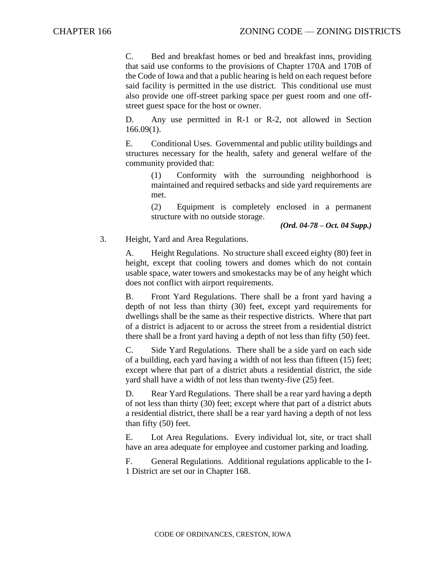C. Bed and breakfast homes or bed and breakfast inns, providing that said use conforms to the provisions of Chapter 170A and 170B of the Code of Iowa and that a public hearing is held on each request before said facility is permitted in the use district. This conditional use must also provide one off-street parking space per guest room and one offstreet guest space for the host or owner.

D. Any use permitted in R-1 or R-2, not allowed in Section 166.09(1).

E. Conditional Uses. Governmental and public utility buildings and structures necessary for the health, safety and general welfare of the community provided that:

> (1) Conformity with the surrounding neighborhood is maintained and required setbacks and side yard requirements are met.

> (2) Equipment is completely enclosed in a permanent structure with no outside storage.

*(Ord. 04-78 – Oct. 04 Supp.)*

3. Height, Yard and Area Regulations.

A. Height Regulations. No structure shall exceed eighty (80) feet in height, except that cooling towers and domes which do not contain usable space, water towers and smokestacks may be of any height which does not conflict with airport requirements.

B. Front Yard Regulations. There shall be a front yard having a depth of not less than thirty (30) feet, except yard requirements for dwellings shall be the same as their respective districts. Where that part of a district is adjacent to or across the street from a residential district there shall be a front yard having a depth of not less than fifty (50) feet.

C. Side Yard Regulations. There shall be a side yard on each side of a building, each yard having a width of not less than fifteen (15) feet; except where that part of a district abuts a residential district, the side yard shall have a width of not less than twenty-five (25) feet.

D. Rear Yard Regulations. There shall be a rear yard having a depth of not less than thirty (30) feet; except where that part of a district abuts a residential district, there shall be a rear yard having a depth of not less than fifty (50) feet.

E. Lot Area Regulations. Every individual lot, site, or tract shall have an area adequate for employee and customer parking and loading.

F. General Regulations. Additional regulations applicable to the I-1 District are set our in Chapter 168.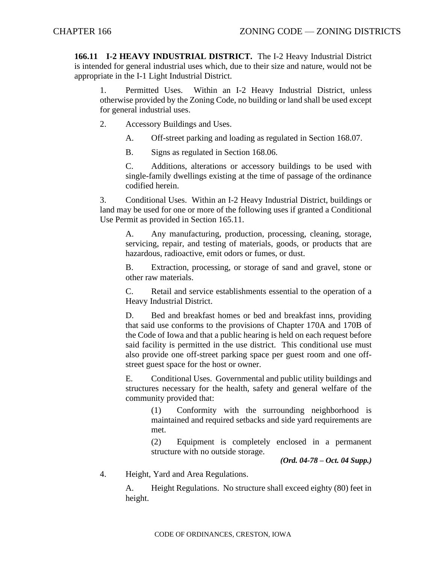**166.11 I-2 HEAVY INDUSTRIAL DISTRICT.** The I-2 Heavy Industrial District is intended for general industrial uses which, due to their size and nature, would not be appropriate in the I-1 Light Industrial District.

1. Permitted Uses. Within an I-2 Heavy Industrial District, unless otherwise provided by the Zoning Code, no building or land shall be used except for general industrial uses.

- 2. Accessory Buildings and Uses.
	- A. Off-street parking and loading as regulated in Section 168.07.

B. Signs as regulated in Section 168.06.

C. Additions, alterations or accessory buildings to be used with single-family dwellings existing at the time of passage of the ordinance codified herein.

3. Conditional Uses. Within an I-2 Heavy Industrial District, buildings or land may be used for one or more of the following uses if granted a Conditional Use Permit as provided in Section 165.11.

A. Any manufacturing, production, processing, cleaning, storage, servicing, repair, and testing of materials, goods, or products that are hazardous, radioactive, emit odors or fumes, or dust.

B. Extraction, processing, or storage of sand and gravel, stone or other raw materials.

C. Retail and service establishments essential to the operation of a Heavy Industrial District.

D. Bed and breakfast homes or bed and breakfast inns, providing that said use conforms to the provisions of Chapter 170A and 170B of the Code of Iowa and that a public hearing is held on each request before said facility is permitted in the use district. This conditional use must also provide one off-street parking space per guest room and one offstreet guest space for the host or owner.

E. Conditional Uses. Governmental and public utility buildings and structures necessary for the health, safety and general welfare of the community provided that:

(1) Conformity with the surrounding neighborhood is maintained and required setbacks and side yard requirements are met.

(2) Equipment is completely enclosed in a permanent structure with no outside storage.

*(Ord. 04-78 – Oct. 04 Supp.)*

4. Height, Yard and Area Regulations.

A. Height Regulations. No structure shall exceed eighty (80) feet in height.